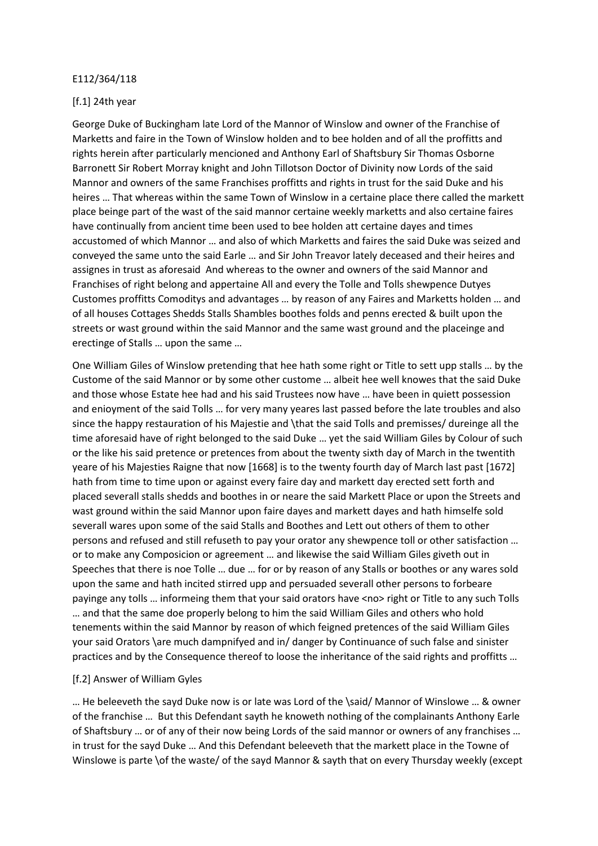## E112/364/118

## [f.1] 24th year

George Duke of Buckingham late Lord of the Mannor of Winslow and owner of the Franchise of Marketts and faire in the Town of Winslow holden and to bee holden and of all the proffitts and rights herein after particularly mencioned and Anthony Earl of Shaftsbury Sir Thomas Osborne Barronett Sir Robert Morray knight and John Tillotson Doctor of Divinity now Lords of the said Mannor and owners of the same Franchises proffitts and rights in trust for the said Duke and his heires … That whereas within the same Town of Winslow in a certaine place there called the markett place beinge part of the wast of the said mannor certaine weekly marketts and also certaine faires have continually from ancient time been used to bee holden att certaine dayes and times accustomed of which Mannor … and also of which Marketts and faires the said Duke was seized and conveyed the same unto the said Earle … and Sir John Treavor lately deceased and their heires and assignes in trust as aforesaid And whereas to the owner and owners of the said Mannor and Franchises of right belong and appertaine All and every the Tolle and Tolls shewpence Dutyes Customes proffitts Comoditys and advantages … by reason of any Faires and Marketts holden … and of all houses Cottages Shedds Stalls Shambles boothes folds and penns erected & built upon the streets or wast ground within the said Mannor and the same wast ground and the placeinge and erectinge of Stalls … upon the same …

One William Giles of Winslow pretending that hee hath some right or Title to sett upp stalls … by the Custome of the said Mannor or by some other custome … albeit hee well knowes that the said Duke and those whose Estate hee had and his said Trustees now have … have been in quiett possession and enioyment of the said Tolls … for very many yeares last passed before the late troubles and also since the happy restauration of his Majestie and \that the said Tolls and premisses/ dureinge all the time aforesaid have of right belonged to the said Duke … yet the said William Giles by Colour of such or the like his said pretence or pretences from about the twenty sixth day of March in the twentith yeare of his Majesties Raigne that now [1668] is to the twenty fourth day of March last past [1672] hath from time to time upon or against every faire day and markett day erected sett forth and placed severall stalls shedds and boothes in or neare the said Markett Place or upon the Streets and wast ground within the said Mannor upon faire dayes and markett dayes and hath himselfe sold severall wares upon some of the said Stalls and Boothes and Lett out others of them to other persons and refused and still refuseth to pay your orator any shewpence toll or other satisfaction … or to make any Composicion or agreement … and likewise the said William Giles giveth out in Speeches that there is noe Tolle … due … for or by reason of any Stalls or boothes or any wares sold upon the same and hath incited stirred upp and persuaded severall other persons to forbeare payinge any tolls … informeing them that your said orators have <no> right or Title to any such Tolls … and that the same doe properly belong to him the said William Giles and others who hold tenements within the said Mannor by reason of which feigned pretences of the said William Giles your said Orators \are much dampnifyed and in/ danger by Continuance of such false and sinister practices and by the Consequence thereof to loose the inheritance of the said rights and proffitts …

## [f.2] Answer of William Gyles

… He beleeveth the sayd Duke now is or late was Lord of the \said/ Mannor of Winslowe … & owner of the franchise … But this Defendant sayth he knoweth nothing of the complainants Anthony Earle of Shaftsbury … or of any of their now being Lords of the said mannor or owners of any franchises … in trust for the sayd Duke … And this Defendant beleeveth that the markett place in the Towne of Winslowe is parte \of the waste/ of the sayd Mannor & sayth that on every Thursday weekly (except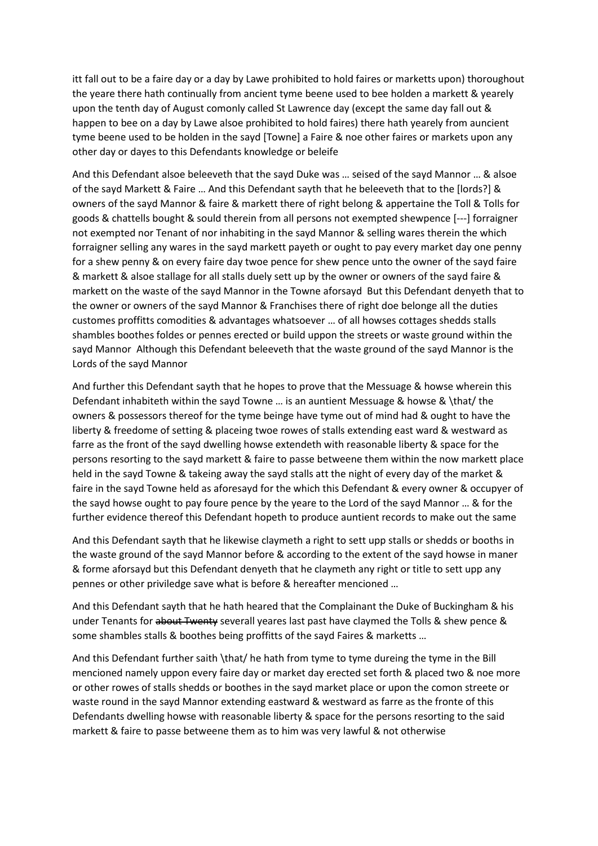itt fall out to be a faire day or a day by Lawe prohibited to hold faires or marketts upon) thoroughout the yeare there hath continually from ancient tyme beene used to bee holden a markett & yearely upon the tenth day of August comonly called St Lawrence day (except the same day fall out & happen to bee on a day by Lawe alsoe prohibited to hold faires) there hath yearely from auncient tyme beene used to be holden in the sayd [Towne] a Faire & noe other faires or markets upon any other day or dayes to this Defendants knowledge or beleife

And this Defendant alsoe beleeveth that the sayd Duke was … seised of the sayd Mannor … & alsoe of the sayd Markett & Faire … And this Defendant sayth that he beleeveth that to the [lords?] & owners of the sayd Mannor & faire & markett there of right belong & appertaine the Toll & Tolls for goods & chattells bought & sould therein from all persons not exempted shewpence [---] forraigner not exempted nor Tenant of nor inhabiting in the sayd Mannor & selling wares therein the which forraigner selling any wares in the sayd markett payeth or ought to pay every market day one penny for a shew penny & on every faire day twoe pence for shew pence unto the owner of the sayd faire & markett & alsoe stallage for all stalls duely sett up by the owner or owners of the sayd faire & markett on the waste of the sayd Mannor in the Towne aforsayd But this Defendant denyeth that to the owner or owners of the sayd Mannor & Franchises there of right doe belonge all the duties customes proffitts comodities & advantages whatsoever … of all howses cottages shedds stalls shambles boothes foldes or pennes erected or build uppon the streets or waste ground within the sayd Mannor Although this Defendant beleeveth that the waste ground of the sayd Mannor is the Lords of the sayd Mannor

And further this Defendant sayth that he hopes to prove that the Messuage & howse wherein this Defendant inhabiteth within the sayd Towne … is an auntient Messuage & howse & \that/ the owners & possessors thereof for the tyme beinge have tyme out of mind had & ought to have the liberty & freedome of setting & placeing twoe rowes of stalls extending east ward & westward as farre as the front of the sayd dwelling howse extendeth with reasonable liberty & space for the persons resorting to the sayd markett & faire to passe betweene them within the now markett place held in the sayd Towne & takeing away the sayd stalls att the night of every day of the market & faire in the sayd Towne held as aforesayd for the which this Defendant & every owner & occupyer of the sayd howse ought to pay foure pence by the yeare to the Lord of the sayd Mannor … & for the further evidence thereof this Defendant hopeth to produce auntient records to make out the same

And this Defendant sayth that he likewise claymeth a right to sett upp stalls or shedds or booths in the waste ground of the sayd Mannor before & according to the extent of the sayd howse in maner & forme aforsayd but this Defendant denyeth that he claymeth any right or title to sett upp any pennes or other priviledge save what is before & hereafter mencioned …

And this Defendant sayth that he hath heared that the Complainant the Duke of Buckingham & his under Tenants for about Twenty severall yeares last past have claymed the Tolls & shew pence & some shambles stalls & boothes being proffitts of the sayd Faires & marketts …

And this Defendant further saith \that/ he hath from tyme to tyme dureing the tyme in the Bill mencioned namely uppon every faire day or market day erected set forth & placed two & noe more or other rowes of stalls shedds or boothes in the sayd market place or upon the comon streete or waste round in the sayd Mannor extending eastward & westward as farre as the fronte of this Defendants dwelling howse with reasonable liberty & space for the persons resorting to the said markett & faire to passe betweene them as to him was very lawful & not otherwise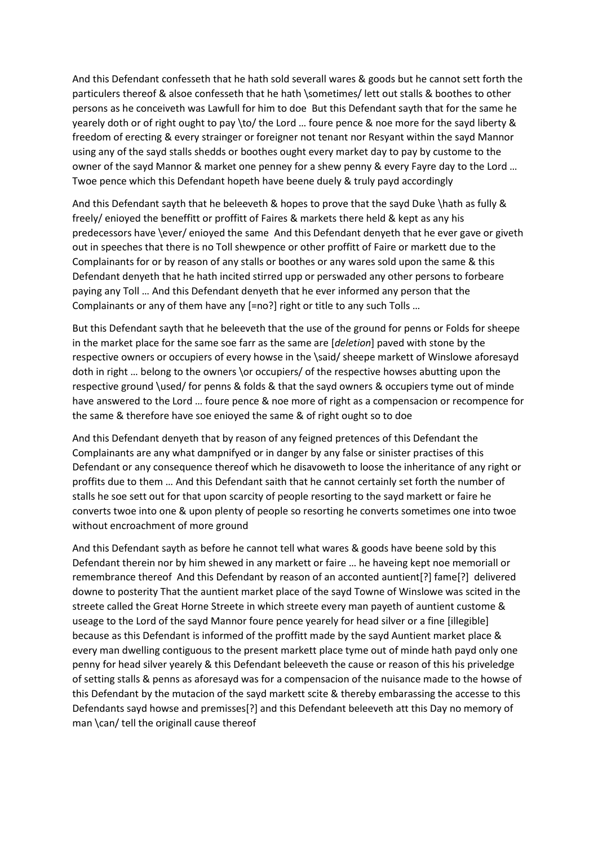And this Defendant confesseth that he hath sold severall wares & goods but he cannot sett forth the particulers thereof & alsoe confesseth that he hath \sometimes/ lett out stalls & boothes to other persons as he conceiveth was Lawfull for him to doe But this Defendant sayth that for the same he yearely doth or of right ought to pay \to/ the Lord … foure pence & noe more for the sayd liberty & freedom of erecting & every strainger or foreigner not tenant nor Resyant within the sayd Mannor using any of the sayd stalls shedds or boothes ought every market day to pay by custome to the owner of the sayd Mannor & market one penney for a shew penny & every Fayre day to the Lord … Twoe pence which this Defendant hopeth have beene duely & truly payd accordingly

And this Defendant sayth that he beleeveth & hopes to prove that the sayd Duke \hath as fully & freely/ enioyed the beneffitt or proffitt of Faires & markets there held & kept as any his predecessors have \ever/ enioyed the same And this Defendant denyeth that he ever gave or giveth out in speeches that there is no Toll shewpence or other proffitt of Faire or markett due to the Complainants for or by reason of any stalls or boothes or any wares sold upon the same & this Defendant denyeth that he hath incited stirred upp or perswaded any other persons to forbeare paying any Toll … And this Defendant denyeth that he ever informed any person that the Complainants or any of them have any [=no?] right or title to any such Tolls …

But this Defendant sayth that he beleeveth that the use of the ground for penns or Folds for sheepe in the market place for the same soe farr as the same are [*deletion*] paved with stone by the respective owners or occupiers of every howse in the \said/ sheepe markett of Winslowe aforesayd doth in right ... belong to the owners \or occupiers/ of the respective howses abutting upon the respective ground \used/ for penns & folds & that the sayd owners & occupiers tyme out of minde have answered to the Lord … foure pence & noe more of right as a compensacion or recompence for the same & therefore have soe enioyed the same & of right ought so to doe

And this Defendant denyeth that by reason of any feigned pretences of this Defendant the Complainants are any what dampnifyed or in danger by any false or sinister practises of this Defendant or any consequence thereof which he disavoweth to loose the inheritance of any right or proffits due to them … And this Defendant saith that he cannot certainly set forth the number of stalls he soe sett out for that upon scarcity of people resorting to the sayd markett or faire he converts twoe into one & upon plenty of people so resorting he converts sometimes one into twoe without encroachment of more ground

And this Defendant sayth as before he cannot tell what wares & goods have beene sold by this Defendant therein nor by him shewed in any markett or faire … he haveing kept noe memoriall or remembrance thereof And this Defendant by reason of an acconted auntient[?] fame[?] delivered downe to posterity That the auntient market place of the sayd Towne of Winslowe was scited in the streete called the Great Horne Streete in which streete every man payeth of auntient custome & useage to the Lord of the sayd Mannor foure pence yearely for head silver or a fine [illegible] because as this Defendant is informed of the proffitt made by the sayd Auntient market place & every man dwelling contiguous to the present markett place tyme out of minde hath payd only one penny for head silver yearely & this Defendant beleeveth the cause or reason of this his priveledge of setting stalls & penns as aforesayd was for a compensacion of the nuisance made to the howse of this Defendant by the mutacion of the sayd markett scite & thereby embarassing the accesse to this Defendants sayd howse and premisses[?] and this Defendant beleeveth att this Day no memory of man \can/ tell the originall cause thereof